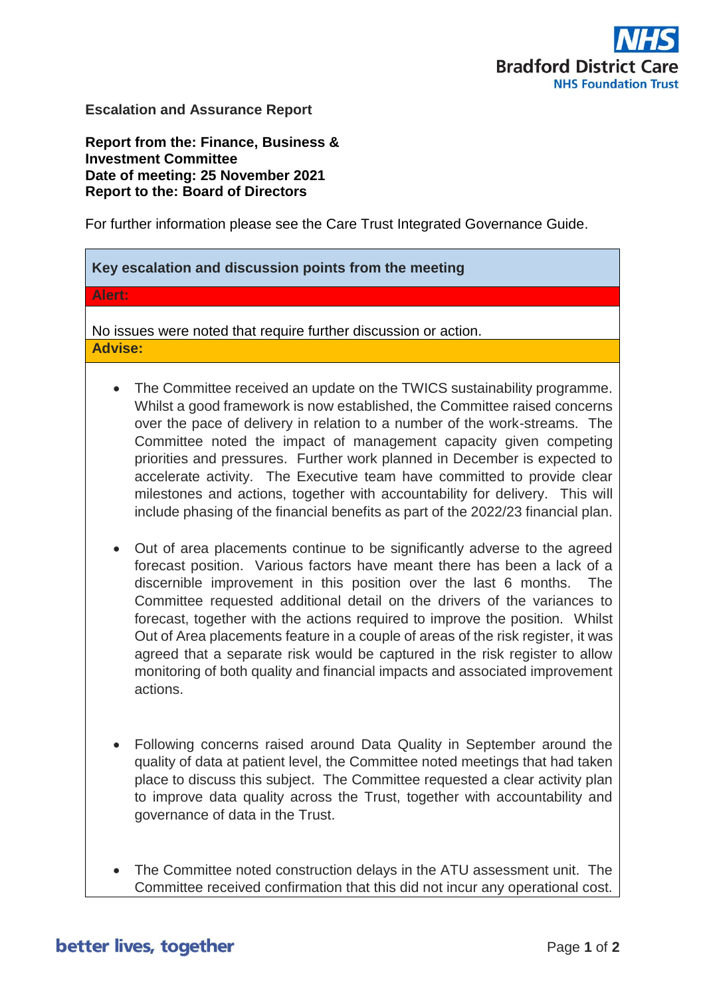

**Escalation and Assurance Report**

**Report from the: Finance, Business & Investment Committee Date of meeting: 25 November 2021 Report to the: Board of Directors** 

For further information please see the Care Trust Integrated Governance Guide.

# **Key escalation and discussion points from the meeting**

## **Alert:**

No issues were noted that require further discussion or action. **Advise:**

- The Committee received an update on the TWICS sustainability programme. Whilst a good framework is now established, the Committee raised concerns over the pace of delivery in relation to a number of the work-streams. The Committee noted the impact of management capacity given competing priorities and pressures. Further work planned in December is expected to accelerate activity. The Executive team have committed to provide clear milestones and actions, together with accountability for delivery. This will include phasing of the financial benefits as part of the 2022/23 financial plan.
- Out of area placements continue to be significantly adverse to the agreed forecast position. Various factors have meant there has been a lack of a discernible improvement in this position over the last 6 months. The Committee requested additional detail on the drivers of the variances to forecast, together with the actions required to improve the position. Whilst Out of Area placements feature in a couple of areas of the risk register, it was agreed that a separate risk would be captured in the risk register to allow monitoring of both quality and financial impacts and associated improvement actions.
- Following concerns raised around Data Quality in September around the quality of data at patient level, the Committee noted meetings that had taken place to discuss this subject. The Committee requested a clear activity plan to improve data quality across the Trust, together with accountability and governance of data in the Trust.
- The Committee noted construction delays in the ATU assessment unit. The Committee received confirmation that this did not incur any operational cost.